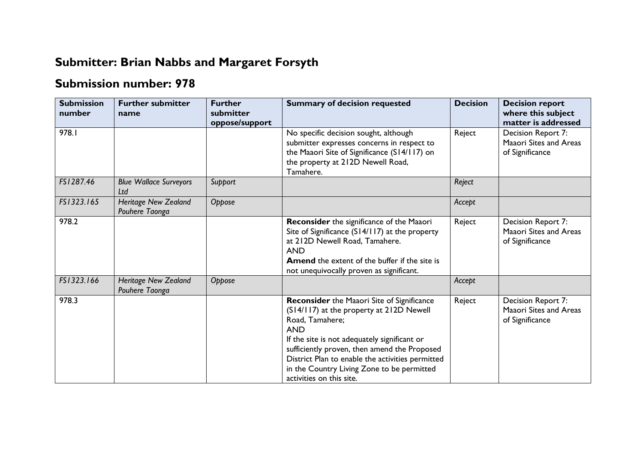## **Submitter: Brian Nabbs and Margaret Forsyth**

## **Submission number: 978**

| <b>Submission</b><br>number | <b>Further submitter</b><br>name              | <b>Further</b><br>submitter<br>oppose/support | <b>Summary of decision requested</b>                                                                                                                                                                                                                                                                                                                         | <b>Decision</b> | <b>Decision report</b><br>where this subject<br>matter is addressed    |
|-----------------------------|-----------------------------------------------|-----------------------------------------------|--------------------------------------------------------------------------------------------------------------------------------------------------------------------------------------------------------------------------------------------------------------------------------------------------------------------------------------------------------------|-----------------|------------------------------------------------------------------------|
| 978.I                       |                                               |                                               | No specific decision sought, although<br>submitter expresses concerns in respect to<br>the Maaori Site of Significance (S14/117) on<br>the property at 212D Newell Road,<br>Tamahere.                                                                                                                                                                        | Reject          | Decision Report 7:<br>Maaori Sites and Areas<br>of Significance        |
| FS1287.46                   | <b>Blue Wallace Surveyors</b><br>Ltd          | Support                                       |                                                                                                                                                                                                                                                                                                                                                              | Reject          |                                                                        |
| FS1323.165                  | <b>Heritage New Zealand</b><br>Pouhere Taonga | Oppose                                        |                                                                                                                                                                                                                                                                                                                                                              | Accept          |                                                                        |
| 978.2                       |                                               |                                               | Reconsider the significance of the Maaori<br>Site of Significance (S14/117) at the property<br>at 212D Newell Road, Tamahere.<br><b>AND</b><br><b>Amend</b> the extent of the buffer if the site is<br>not unequivocally proven as significant.                                                                                                              | Reject          | Decision Report 7:<br><b>Maaori Sites and Areas</b><br>of Significance |
| FS1323.166                  | <b>Heritage New Zealand</b><br>Pouhere Taonga | Oppose                                        |                                                                                                                                                                                                                                                                                                                                                              | Accept          |                                                                        |
| 978.3                       |                                               |                                               | <b>Reconsider</b> the Maaori Site of Significance<br>(S14/117) at the property at 212D Newell<br>Road, Tamahere;<br><b>AND</b><br>If the site is not adequately significant or<br>sufficiently proven, then amend the Proposed<br>District Plan to enable the activities permitted<br>in the Country Living Zone to be permitted<br>activities on this site. | Reject          | Decision Report 7:<br><b>Maaori Sites and Areas</b><br>of Significance |